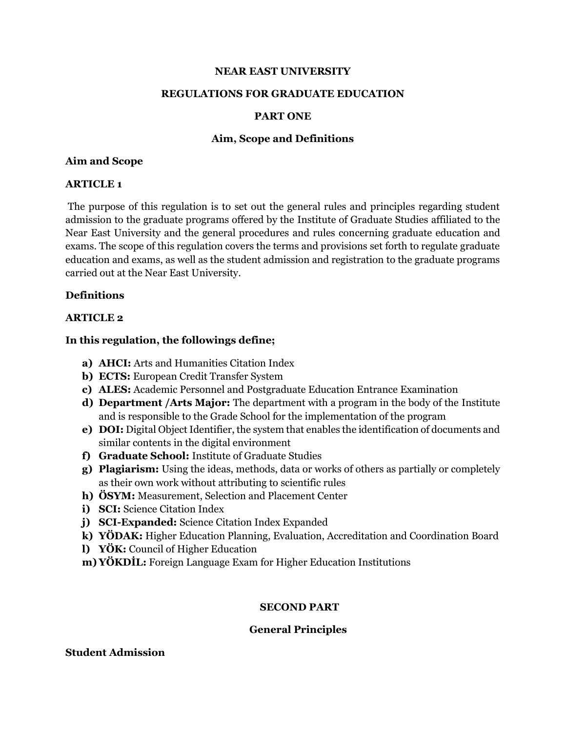#### **NEAR EAST UNIVERSITY**

#### **REGULATIONS FOR GRADUATE EDUCATION**

#### **PART ONE**

#### **Aim, Scope and Definitions**

#### **Aim and Scope**

#### **ARTICLE 1**

The purpose of this regulation is to set out the general rules and principles regarding student admission to the graduate programs offered by the Institute of Graduate Studies affiliated to the Near East University and the general procedures and rules concerning graduate education and exams. The scope of this regulation covers the terms and provisions set forth to regulate graduate education and exams, as well as the student admission and registration to the graduate programs carried out at the Near East University.

### **Definitions**

### **ARTICLE 2**

### **In this regulation, the followings define;**

- **a) AHCI:** Arts and Humanities Citation Index
- **b) ECTS:** European Credit Transfer System
- **c) ALES:** Academic Personnel and Postgraduate Education Entrance Examination
- **d) Department /Arts Major:** The department with a program in the body of the Institute and is responsible to the Grade School for the implementation of the program
- **e) DOI:** Digital Object Identifier, the system that enables the identification of documents and similar contents in the digital environment
- **f) Graduate School:** Institute of Graduate Studies
- **g) Plagiarism:** Using the ideas, methods, data or works of others as partially or completely as their own work without attributing to scientific rules
- **h) ÖSYM:** Measurement, Selection and Placement Center
- **i) SCI:** Science Citation Index
- **j) SCI-Expanded:** Science Citation Index Expanded
- **k) YÖDAK:** Higher Education Planning, Evaluation, Accreditation and Coordination Board
- **l) YÖK:** Council of Higher Education
- **m) YÖKDİL:** Foreign Language Exam for Higher Education Institutions

### **SECOND PART**

#### **General Principles**

#### **Student Admission**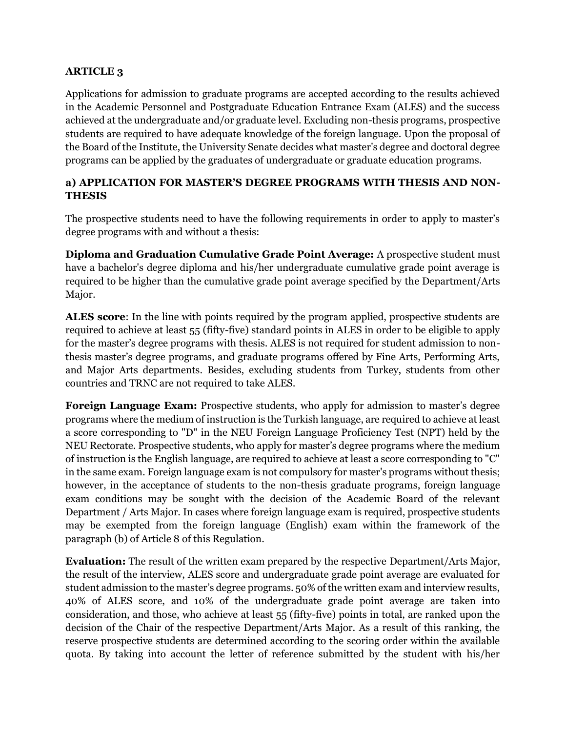# **ARTICLE 3**

Applications for admission to graduate programs are accepted according to the results achieved in the Academic Personnel and Postgraduate Education Entrance Exam (ALES) and the success achieved at the undergraduate and/or graduate level. Excluding non-thesis programs, prospective students are required to have adequate knowledge of the foreign language. Upon the proposal of the Board of the Institute, the University Senate decides what master's degree and doctoral degree programs can be applied by the graduates of undergraduate or graduate education programs.

# **a) APPLICATION FOR MASTER'S DEGREE PROGRAMS WITH THESIS AND NON-THESIS**

The prospective students need to have the following requirements in order to apply to master's degree programs with and without a thesis:

**Diploma and Graduation Cumulative Grade Point Average:** A prospective student must have a bachelor's degree diploma and his/her undergraduate cumulative grade point average is required to be higher than the cumulative grade point average specified by the Department/Arts Major.

**ALES score**: In the line with points required by the program applied, prospective students are required to achieve at least 55 (fifty-five) standard points in ALES in order to be eligible to apply for the master's degree programs with thesis. ALES is not required for student admission to nonthesis master's degree programs, and graduate programs offered by Fine Arts, Performing Arts, and Major Arts departments. Besides, excluding students from Turkey, students from other countries and TRNC are not required to take ALES.

**Foreign Language Exam:** Prospective students, who apply for admission to master's degree programs where the medium of instruction is the Turkish language, are required to achieve at least a score corresponding to "D" in the NEU Foreign Language Proficiency Test (NPT) held by the NEU Rectorate. Prospective students, who apply for master's degree programs where the medium of instruction is the English language, are required to achieve at least a score corresponding to "C" in the same exam. Foreign language exam is not compulsory for master's programs without thesis; however, in the acceptance of students to the non-thesis graduate programs, foreign language exam conditions may be sought with the decision of the Academic Board of the relevant Department / Arts Major. In cases where foreign language exam is required, prospective students may be exempted from the foreign language (English) exam within the framework of the paragraph (b) of Article 8 of this Regulation.

**Evaluation:** The result of the written exam prepared by the respective Department/Arts Major, the result of the interview, ALES score and undergraduate grade point average are evaluated for student admission to the master's degree programs. 50% of the written exam and interview results, 40% of ALES score, and 10% of the undergraduate grade point average are taken into consideration, and those, who achieve at least 55 (fifty-five) points in total, are ranked upon the decision of the Chair of the respective Department/Arts Major. As a result of this ranking, the reserve prospective students are determined according to the scoring order within the available quota. By taking into account the letter of reference submitted by the student with his/her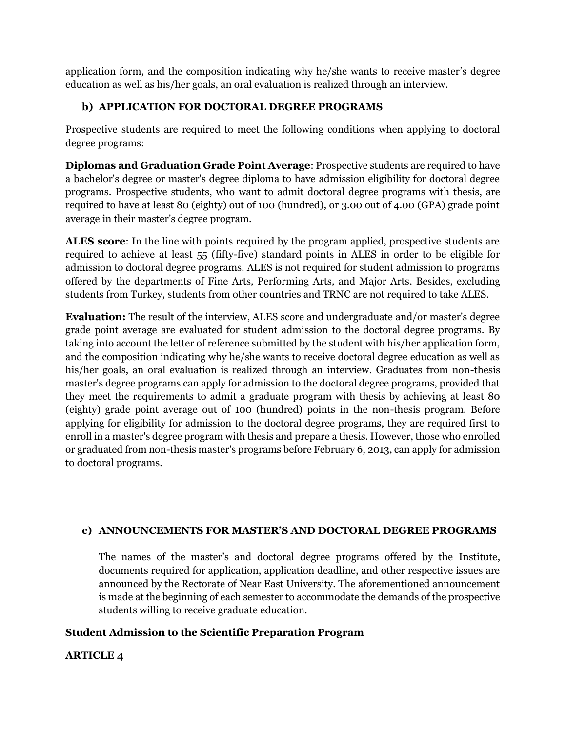application form, and the composition indicating why he/she wants to receive master's degree education as well as his/her goals, an oral evaluation is realized through an interview.

# **b) APPLICATION FOR DOCTORAL DEGREE PROGRAMS**

Prospective students are required to meet the following conditions when applying to doctoral degree programs:

**Diplomas and Graduation Grade Point Average**: Prospective students are required to have a bachelor's degree or master's degree diploma to have admission eligibility for doctoral degree programs. Prospective students, who want to admit doctoral degree programs with thesis, are required to have at least 80 (eighty) out of 100 (hundred), or 3.00 out of 4.00 (GPA) grade point average in their master's degree program.

**ALES score**: In the line with points required by the program applied, prospective students are required to achieve at least 55 (fifty-five) standard points in ALES in order to be eligible for admission to doctoral degree programs. ALES is not required for student admission to programs offered by the departments of Fine Arts, Performing Arts, and Major Arts. Besides, excluding students from Turkey, students from other countries and TRNC are not required to take ALES.

**Evaluation:** The result of the interview, ALES score and undergraduate and/or master's degree grade point average are evaluated for student admission to the doctoral degree programs. By taking into account the letter of reference submitted by the student with his/her application form, and the composition indicating why he/she wants to receive doctoral degree education as well as his/her goals, an oral evaluation is realized through an interview. Graduates from non-thesis master's degree programs can apply for admission to the doctoral degree programs, provided that they meet the requirements to admit a graduate program with thesis by achieving at least 80 (eighty) grade point average out of 100 (hundred) points in the non-thesis program. Before applying for eligibility for admission to the doctoral degree programs, they are required first to enroll in a master's degree program with thesis and prepare a thesis. However, those who enrolled or graduated from non-thesis master's programs before February 6, 2013, can apply for admission to doctoral programs.

# **c) ANNOUNCEMENTS FOR MASTER'S AND DOCTORAL DEGREE PROGRAMS**

The names of the master's and doctoral degree programs offered by the Institute, documents required for application, application deadline, and other respective issues are announced by the Rectorate of Near East University. The aforementioned announcement is made at the beginning of each semester to accommodate the demands of the prospective students willing to receive graduate education.

# **Student Admission to the Scientific Preparation Program**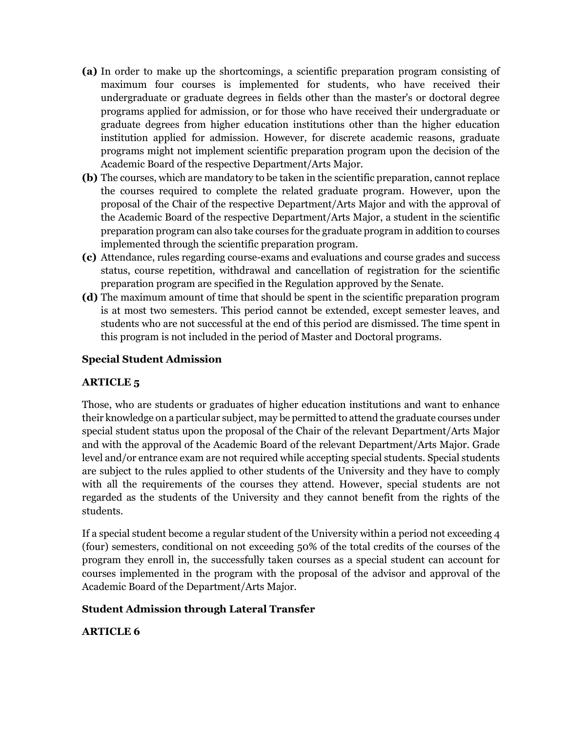- **(a)** In order to make up the shortcomings, a scientific preparation program consisting of maximum four courses is implemented for students, who have received their undergraduate or graduate degrees in fields other than the master's or doctoral degree programs applied for admission, or for those who have received their undergraduate or graduate degrees from higher education institutions other than the higher education institution applied for admission. However, for discrete academic reasons, graduate programs might not implement scientific preparation program upon the decision of the Academic Board of the respective Department/Arts Major.
- **(b)** The courses, which are mandatory to be taken in the scientific preparation, cannot replace the courses required to complete the related graduate program. However, upon the proposal of the Chair of the respective Department/Arts Major and with the approval of the Academic Board of the respective Department/Arts Major, a student in the scientific preparation program can also take courses for the graduate program in addition to courses implemented through the scientific preparation program.
- **(c)** Attendance, rules regarding course-exams and evaluations and course grades and success status, course repetition, withdrawal and cancellation of registration for the scientific preparation program are specified in the Regulation approved by the Senate.
- **(d)** The maximum amount of time that should be spent in the scientific preparation program is at most two semesters. This period cannot be extended, except semester leaves, and students who are not successful at the end of this period are dismissed. The time spent in this program is not included in the period of Master and Doctoral programs.

## **Special Student Admission**

# **ARTICLE 5**

Those, who are students or graduates of higher education institutions and want to enhance their knowledge on a particular subject, may be permitted to attend the graduate courses under special student status upon the proposal of the Chair of the relevant Department/Arts Major and with the approval of the Academic Board of the relevant Department/Arts Major. Grade level and/or entrance exam are not required while accepting special students. Special students are subject to the rules applied to other students of the University and they have to comply with all the requirements of the courses they attend. However, special students are not regarded as the students of the University and they cannot benefit from the rights of the students.

If a special student become a regular student of the University within a period not exceeding 4 (four) semesters, conditional on not exceeding 50% of the total credits of the courses of the program they enroll in, the successfully taken courses as a special student can account for courses implemented in the program with the proposal of the advisor and approval of the Academic Board of the Department/Arts Major.

### **Student Admission through Lateral Transfer**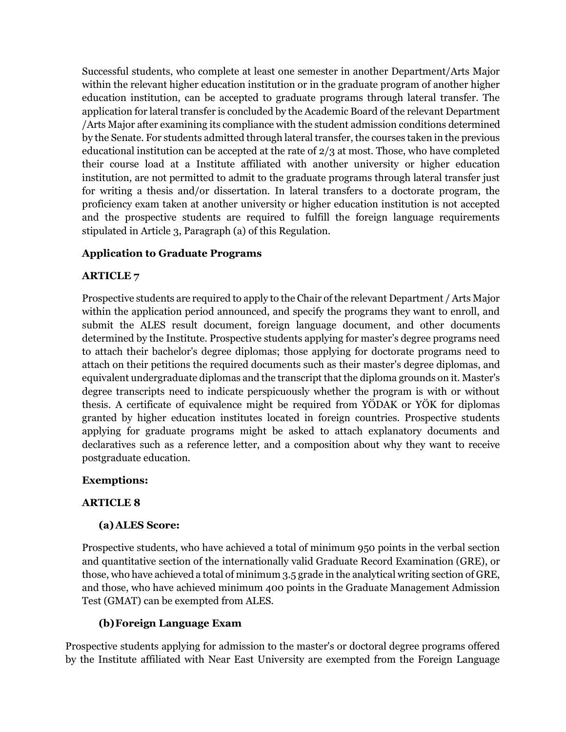Successful students, who complete at least one semester in another Department/Arts Major within the relevant higher education institution or in the graduate program of another higher education institution, can be accepted to graduate programs through lateral transfer. The application for lateral transfer is concluded by the Academic Board of the relevant Department /Arts Major after examining its compliance with the student admission conditions determined by the Senate. For students admitted through lateral transfer, the courses taken in the previous educational institution can be accepted at the rate of 2/3 at most. Those, who have completed their course load at a Institute affiliated with another university or higher education institution, are not permitted to admit to the graduate programs through lateral transfer just for writing a thesis and/or dissertation. In lateral transfers to a doctorate program, the proficiency exam taken at another university or higher education institution is not accepted and the prospective students are required to fulfill the foreign language requirements stipulated in Article 3, Paragraph (a) of this Regulation.

# **Application to Graduate Programs**

## **ARTICLE 7**

Prospective students are required to apply to the Chair of the relevant Department / Arts Major within the application period announced, and specify the programs they want to enroll, and submit the ALES result document, foreign language document, and other documents determined by the Institute. Prospective students applying for master's degree programs need to attach their bachelor's degree diplomas; those applying for doctorate programs need to attach on their petitions the required documents such as their master's degree diplomas, and equivalent undergraduate diplomas and the transcript that the diploma grounds on it. Master's degree transcripts need to indicate perspicuously whether the program is with or without thesis. A certificate of equivalence might be required from YÖDAK or YÖK for diplomas granted by higher education institutes located in foreign countries. Prospective students applying for graduate programs might be asked to attach explanatory documents and declaratives such as a reference letter, and a composition about why they want to receive postgraduate education.

### **Exemptions:**

### **ARTICLE 8**

### **(a)ALES Score:**

Prospective students, who have achieved a total of minimum 950 points in the verbal section and quantitative section of the internationally valid Graduate Record Examination (GRE), or those, who have achieved a total of minimum 3.5 grade in the analytical writing section of GRE, and those, who have achieved minimum 400 points in the Graduate Management Admission Test (GMAT) can be exempted from ALES.

# **(b)Foreign Language Exam**

Prospective students applying for admission to the master's or doctoral degree programs offered by the Institute affiliated with Near East University are exempted from the Foreign Language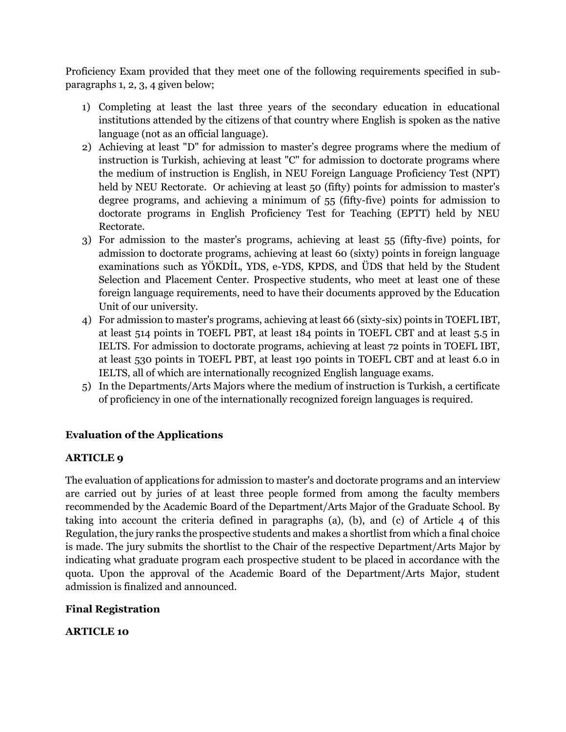Proficiency Exam provided that they meet one of the following requirements specified in subparagraphs 1, 2, 3, 4 given below;

- 1) Completing at least the last three years of the secondary education in educational institutions attended by the citizens of that country where English is spoken as the native language (not as an official language).
- 2) Achieving at least "D" for admission to master's degree programs where the medium of instruction is Turkish, achieving at least "C" for admission to doctorate programs where the medium of instruction is English, in NEU Foreign Language Proficiency Test (NPT) held by NEU Rectorate. Or achieving at least 50 (fifty) points for admission to master's degree programs, and achieving a minimum of 55 (fifty-five) points for admission to doctorate programs in English Proficiency Test for Teaching (EPTT) held by NEU Rectorate.
- 3) For admission to the master's programs, achieving at least 55 (fifty-five) points, for admission to doctorate programs, achieving at least 60 (sixty) points in foreign language examinations such as YÖKDİL, YDS, e-YDS, KPDS, and ÜDS that held by the Student Selection and Placement Center. Prospective students, who meet at least one of these foreign language requirements, need to have their documents approved by the Education Unit of our university.
- 4) For admission to master's programs, achieving at least 66 (sixty-six) points in TOEFL IBT, at least 514 points in TOEFL PBT, at least 184 points in TOEFL CBT and at least 5.5 in IELTS. For admission to doctorate programs, achieving at least 72 points in TOEFL IBT, at least 530 points in TOEFL PBT, at least 190 points in TOEFL CBT and at least 6.0 in IELTS, all of which are internationally recognized English language exams.
- 5) In the Departments/Arts Majors where the medium of instruction is Turkish, a certificate of proficiency in one of the internationally recognized foreign languages is required.

# **Evaluation of the Applications**

# **ARTICLE 9**

The evaluation of applications for admission to master's and doctorate programs and an interview are carried out by juries of at least three people formed from among the faculty members recommended by the Academic Board of the Department/Arts Major of the Graduate School. By taking into account the criteria defined in paragraphs (a), (b), and (c) of Article 4 of this Regulation, the jury ranks the prospective students and makes a shortlist from which a final choice is made. The jury submits the shortlist to the Chair of the respective Department/Arts Major by indicating what graduate program each prospective student to be placed in accordance with the quota. Upon the approval of the Academic Board of the Department/Arts Major, student admission is finalized and announced.

# **Final Registration**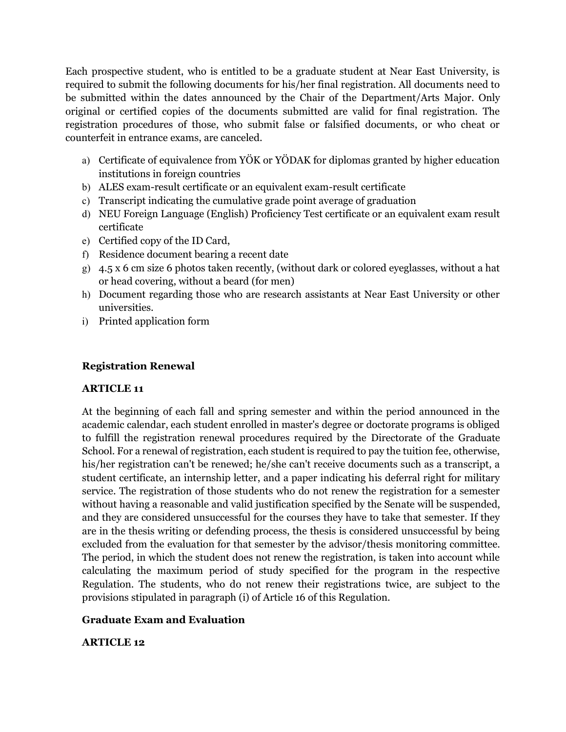Each prospective student, who is entitled to be a graduate student at Near East University, is required to submit the following documents for his/her final registration. All documents need to be submitted within the dates announced by the Chair of the Department/Arts Major. Only original or certified copies of the documents submitted are valid for final registration. The registration procedures of those, who submit false or falsified documents, or who cheat or counterfeit in entrance exams, are canceled.

- a) Certificate of equivalence from YÖK or YÖDAK for diplomas granted by higher education institutions in foreign countries
- b) ALES exam-result certificate or an equivalent exam-result certificate
- c) Transcript indicating the cumulative grade point average of graduation
- d) NEU Foreign Language (English) Proficiency Test certificate or an equivalent exam result certificate
- e) Certified copy of the ID Card,
- f) Residence document bearing a recent date
- g) 4.5 x 6 cm size 6 photos taken recently, (without dark or colored eyeglasses, without a hat or head covering, without a beard (for men)
- h) Document regarding those who are research assistants at Near East University or other universities.
- i) Printed application form

# **Registration Renewal**

# **ARTICLE 11**

At the beginning of each fall and spring semester and within the period announced in the academic calendar, each student enrolled in master's degree or doctorate programs is obliged to fulfill the registration renewal procedures required by the Directorate of the Graduate School. For a renewal of registration, each student is required to pay the tuition fee, otherwise, his/her registration can't be renewed; he/she can't receive documents such as a transcript, a student certificate, an internship letter, and a paper indicating his deferral right for military service. The registration of those students who do not renew the registration for a semester without having a reasonable and valid justification specified by the Senate will be suspended, and they are considered unsuccessful for the courses they have to take that semester. If they are in the thesis writing or defending process, the thesis is considered unsuccessful by being excluded from the evaluation for that semester by the advisor/thesis monitoring committee. The period, in which the student does not renew the registration, is taken into account while calculating the maximum period of study specified for the program in the respective Regulation. The students, who do not renew their registrations twice, are subject to the provisions stipulated in paragraph (i) of Article 16 of this Regulation.

# **Graduate Exam and Evaluation**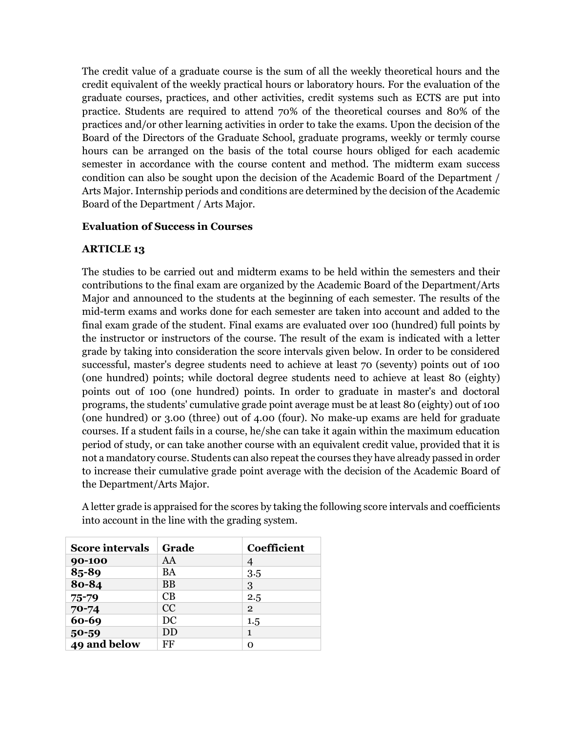The credit value of a graduate course is the sum of all the weekly theoretical hours and the credit equivalent of the weekly practical hours or laboratory hours. For the evaluation of the graduate courses, practices, and other activities, credit systems such as ECTS are put into practice. Students are required to attend 70% of the theoretical courses and 80% of the practices and/or other learning activities in order to take the exams. Upon the decision of the Board of the Directors of the Graduate School, graduate programs, weekly or termly course hours can be arranged on the basis of the total course hours obliged for each academic semester in accordance with the course content and method. The midterm exam success condition can also be sought upon the decision of the Academic Board of the Department / Arts Major. Internship periods and conditions are determined by the decision of the Academic Board of the Department / Arts Major.

## **Evaluation of Success in Courses**

## **ARTICLE 13**

The studies to be carried out and midterm exams to be held within the semesters and their contributions to the final exam are organized by the Academic Board of the Department/Arts Major and announced to the students at the beginning of each semester. The results of the mid-term exams and works done for each semester are taken into account and added to the final exam grade of the student. Final exams are evaluated over 100 (hundred) full points by the instructor or instructors of the course. The result of the exam is indicated with a letter grade by taking into consideration the score intervals given below. In order to be considered successful, master's degree students need to achieve at least 70 (seventy) points out of 100 (one hundred) points; while doctoral degree students need to achieve at least 80 (eighty) points out of 100 (one hundred) points. In order to graduate in master's and doctoral programs, the students' cumulative grade point average must be at least 80 (eighty) out of 100 (one hundred) or 3.00 (three) out of 4.00 (four). No make-up exams are held for graduate courses. If a student fails in a course, he/she can take it again within the maximum education period of study, or can take another course with an equivalent credit value, provided that it is not a mandatory course. Students can also repeat the courses they have already passed in order to increase their cumulative grade point average with the decision of the Academic Board of the Department/Arts Major.

| <b>Score intervals</b> | Grade     | <b>Coefficient</b> |
|------------------------|-----------|--------------------|
| 90-100                 | AA        | 4                  |
| 85-89                  | <b>BA</b> | 3.5                |
| 80-84                  | <b>BB</b> | 3                  |
| $75 - 79$              | CB.       | 2.5                |
| $70 - 74$              | CC        | $\overline{2}$     |
| 60-69                  | DC        | 1.5                |
| $50 - 59$              | DD        | 1                  |
| 49 and below           | FF        | O                  |

A letter grade is appraised for the scores by taking the following score intervals and coefficients into account in the line with the grading system.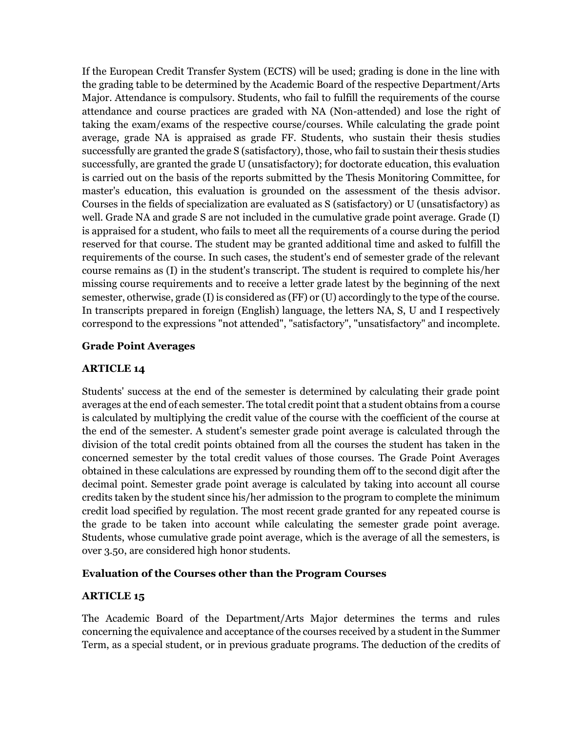If the European Credit Transfer System (ECTS) will be used; grading is done in the line with the grading table to be determined by the Academic Board of the respective Department/Arts Major. Attendance is compulsory. Students, who fail to fulfill the requirements of the course attendance and course practices are graded with NA (Non-attended) and lose the right of taking the exam/exams of the respective course/courses. While calculating the grade point average, grade NA is appraised as grade FF. Students, who sustain their thesis studies successfully are granted the grade S (satisfactory), those, who fail to sustain their thesis studies successfully, are granted the grade U (unsatisfactory); for doctorate education, this evaluation is carried out on the basis of the reports submitted by the Thesis Monitoring Committee, for master's education, this evaluation is grounded on the assessment of the thesis advisor. Courses in the fields of specialization are evaluated as S (satisfactory) or U (unsatisfactory) as well. Grade NA and grade S are not included in the cumulative grade point average. Grade (I) is appraised for a student, who fails to meet all the requirements of a course during the period reserved for that course. The student may be granted additional time and asked to fulfill the requirements of the course. In such cases, the student's end of semester grade of the relevant course remains as (I) in the student's transcript. The student is required to complete his/her missing course requirements and to receive a letter grade latest by the beginning of the next semester, otherwise, grade (I) is considered as (FF) or (U) accordingly to the type of the course. In transcripts prepared in foreign (English) language, the letters NA, S, U and I respectively correspond to the expressions "not attended", "satisfactory", "unsatisfactory" and incomplete.

## **Grade Point Averages**

## **ARTICLE 14**

Students' success at the end of the semester is determined by calculating their grade point averages at the end of each semester. The total credit point that a student obtains from a course is calculated by multiplying the credit value of the course with the coefficient of the course at the end of the semester. A student's semester grade point average is calculated through the division of the total credit points obtained from all the courses the student has taken in the concerned semester by the total credit values of those courses. The Grade Point Averages obtained in these calculations are expressed by rounding them off to the second digit after the decimal point. Semester grade point average is calculated by taking into account all course credits taken by the student since his/her admission to the program to complete the minimum credit load specified by regulation. The most recent grade granted for any repeated course is the grade to be taken into account while calculating the semester grade point average. Students, whose cumulative grade point average, which is the average of all the semesters, is over 3.50, are considered high honor students.

### **Evaluation of the Courses other than the Program Courses**

### **ARTICLE 15**

The Academic Board of the Department/Arts Major determines the terms and rules concerning the equivalence and acceptance of the courses received by a student in the Summer Term, as a special student, or in previous graduate programs. The deduction of the credits of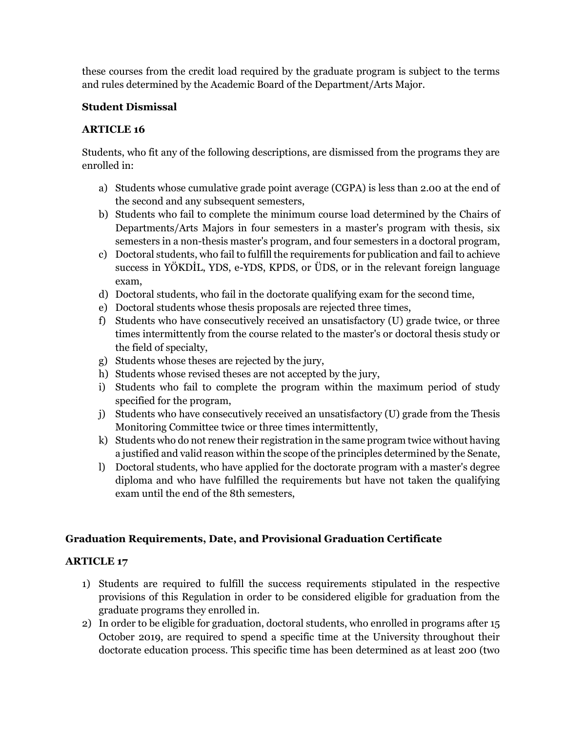these courses from the credit load required by the graduate program is subject to the terms and rules determined by the Academic Board of the Department/Arts Major.

# **Student Dismissal**

# **ARTICLE 16**

Students, who fit any of the following descriptions, are dismissed from the programs they are enrolled in:

- a) Students whose cumulative grade point average (CGPA) is less than 2.00 at the end of the second and any subsequent semesters,
- b) Students who fail to complete the minimum course load determined by the Chairs of Departments/Arts Majors in four semesters in a master's program with thesis, six semesters in a non-thesis master's program, and four semesters in a doctoral program,
- c) Doctoral students, who fail to fulfill the requirements for publication and fail to achieve success in YÖKDİL, YDS, e-YDS, KPDS, or ÜDS, or in the relevant foreign language exam,
- d) Doctoral students, who fail in the doctorate qualifying exam for the second time,
- e) Doctoral students whose thesis proposals are rejected three times,
- f) Students who have consecutively received an unsatisfactory (U) grade twice, or three times intermittently from the course related to the master's or doctoral thesis study or the field of specialty,
- g) Students whose theses are rejected by the jury,
- h) Students whose revised theses are not accepted by the jury,
- i) Students who fail to complete the program within the maximum period of study specified for the program,
- j) Students who have consecutively received an unsatisfactory (U) grade from the Thesis Monitoring Committee twice or three times intermittently,
- k) Students who do not renew their registration in the same program twice without having a justified and valid reason within the scope of the principles determined by the Senate,
- l) Doctoral students, who have applied for the doctorate program with a master's degree diploma and who have fulfilled the requirements but have not taken the qualifying exam until the end of the 8th semesters,

# **Graduation Requirements, Date, and Provisional Graduation Certificate**

- 1) Students are required to fulfill the success requirements stipulated in the respective provisions of this Regulation in order to be considered eligible for graduation from the graduate programs they enrolled in.
- 2) In order to be eligible for graduation, doctoral students, who enrolled in programs after 15 October 2019, are required to spend a specific time at the University throughout their doctorate education process. This specific time has been determined as at least 200 (two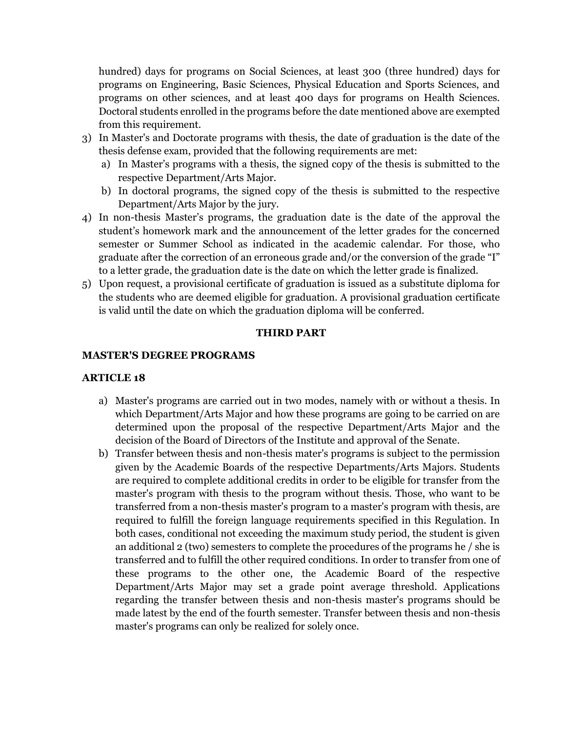hundred) days for programs on Social Sciences, at least 300 (three hundred) days for programs on Engineering, Basic Sciences, Physical Education and Sports Sciences, and programs on other sciences, and at least 400 days for programs on Health Sciences. Doctoral students enrolled in the programs before the date mentioned above are exempted from this requirement.

- 3) In Master's and Doctorate programs with thesis, the date of graduation is the date of the thesis defense exam, provided that the following requirements are met:
	- a) In Master's programs with a thesis, the signed copy of the thesis is submitted to the respective Department/Arts Major.
	- b) In doctoral programs, the signed copy of the thesis is submitted to the respective Department/Arts Major by the jury.
- 4) In non-thesis Master's programs, the graduation date is the date of the approval the student's homework mark and the announcement of the letter grades for the concerned semester or Summer School as indicated in the academic calendar. For those, who graduate after the correction of an erroneous grade and/or the conversion of the grade "I" to a letter grade, the graduation date is the date on which the letter grade is finalized.
- 5) Upon request, a provisional certificate of graduation is issued as a substitute diploma for the students who are deemed eligible for graduation. A provisional graduation certificate is valid until the date on which the graduation diploma will be conferred.

### **THIRD PART**

#### **MASTER'S DEGREE PROGRAMS**

- a) Master's programs are carried out in two modes, namely with or without a thesis. In which Department/Arts Major and how these programs are going to be carried on are determined upon the proposal of the respective Department/Arts Major and the decision of the Board of Directors of the Institute and approval of the Senate.
- b) Transfer between thesis and non-thesis mater's programs is subject to the permission given by the Academic Boards of the respective Departments/Arts Majors. Students are required to complete additional credits in order to be eligible for transfer from the master's program with thesis to the program without thesis. Those, who want to be transferred from a non-thesis master's program to a master's program with thesis, are required to fulfill the foreign language requirements specified in this Regulation. In both cases, conditional not exceeding the maximum study period, the student is given an additional 2 (two) semesters to complete the procedures of the programs he / she is transferred and to fulfill the other required conditions. In order to transfer from one of these programs to the other one, the Academic Board of the respective Department/Arts Major may set a grade point average threshold. Applications regarding the transfer between thesis and non-thesis master's programs should be made latest by the end of the fourth semester. Transfer between thesis and non-thesis master's programs can only be realized for solely once.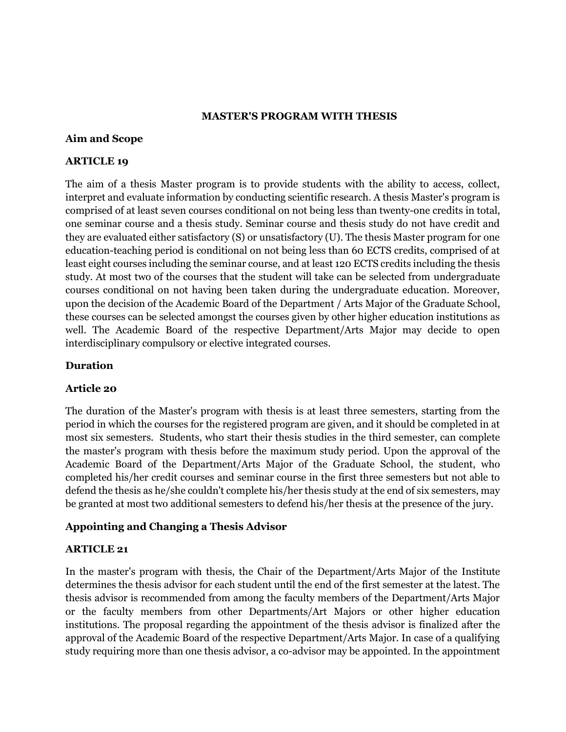#### **MASTER'S PROGRAM WITH THESIS**

#### **Aim and Scope**

### **ARTICLE 19**

The aim of a thesis Master program is to provide students with the ability to access, collect, interpret and evaluate information by conducting scientific research. A thesis Master's program is comprised of at least seven courses conditional on not being less than twenty-one credits in total, one seminar course and a thesis study. Seminar course and thesis study do not have credit and they are evaluated either satisfactory (S) or unsatisfactory (U). The thesis Master program for one education-teaching period is conditional on not being less than 60 ECTS credits, comprised of at least eight courses including the seminar course, and at least 120 ECTS credits including the thesis study. At most two of the courses that the student will take can be selected from undergraduate courses conditional on not having been taken during the undergraduate education. Moreover, upon the decision of the Academic Board of the Department / Arts Major of the Graduate School, these courses can be selected amongst the courses given by other higher education institutions as well. The Academic Board of the respective Department/Arts Major may decide to open interdisciplinary compulsory or elective integrated courses.

### **Duration**

### **Article 20**

The duration of the Master's program with thesis is at least three semesters, starting from the period in which the courses for the registered program are given, and it should be completed in at most six semesters. Students, who start their thesis studies in the third semester, can complete the master's program with thesis before the maximum study period. Upon the approval of the Academic Board of the Department/Arts Major of the Graduate School, the student, who completed his/her credit courses and seminar course in the first three semesters but not able to defend the thesis as he/she couldn't complete his/her thesis study at the end of six semesters, may be granted at most two additional semesters to defend his/her thesis at the presence of the jury.

## **Appointing and Changing a Thesis Advisor**

### **ARTICLE 21**

In the master's program with thesis, the Chair of the Department/Arts Major of the Institute determines the thesis advisor for each student until the end of the first semester at the latest. The thesis advisor is recommended from among the faculty members of the Department/Arts Major or the faculty members from other Departments/Art Majors or other higher education institutions. The proposal regarding the appointment of the thesis advisor is finalized after the approval of the Academic Board of the respective Department/Arts Major. In case of a qualifying study requiring more than one thesis advisor, a co-advisor may be appointed. In the appointment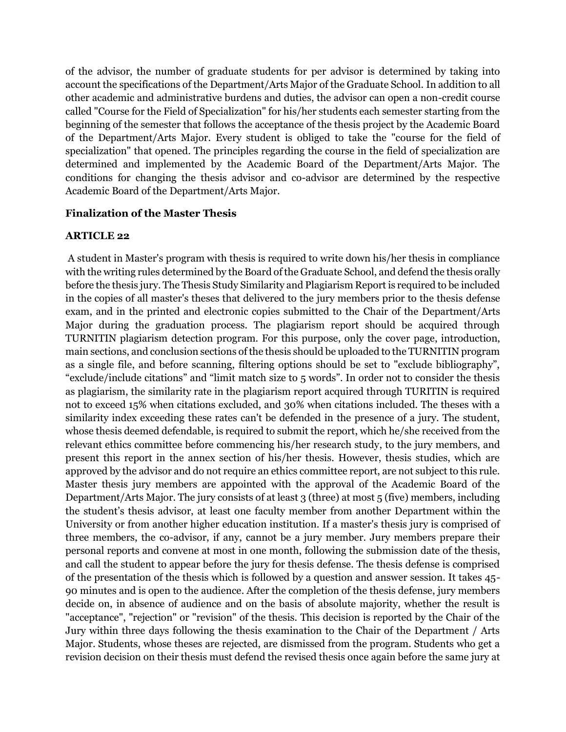of the advisor, the number of graduate students for per advisor is determined by taking into account the specifications of the Department/Arts Major of the Graduate School. In addition to all other academic and administrative burdens and duties, the advisor can open a non-credit course called "Course for the Field of Specialization" for his/her students each semester starting from the beginning of the semester that follows the acceptance of the thesis project by the Academic Board of the Department/Arts Major. Every student is obliged to take the "course for the field of specialization" that opened. The principles regarding the course in the field of specialization are determined and implemented by the Academic Board of the Department/Arts Major. The conditions for changing the thesis advisor and co-advisor are determined by the respective Academic Board of the Department/Arts Major.

## **Finalization of the Master Thesis**

## **ARTICLE 22**

A student in Master's program with thesis is required to write down his/her thesis in compliance with the writing rules determined by the Board of the Graduate School, and defend the thesis orally before the thesis jury. The Thesis Study Similarity and Plagiarism Report is required to be included in the copies of all master's theses that delivered to the jury members prior to the thesis defense exam, and in the printed and electronic copies submitted to the Chair of the Department/Arts Major during the graduation process. The plagiarism report should be acquired through TURNITIN plagiarism detection program. For this purpose, only the cover page, introduction, main sections, and conclusion sections of the thesis should be uploaded to the TURNITIN program as a single file, and before scanning, filtering options should be set to "exclude bibliography", "exclude/include citations" and "limit match size to 5 words". In order not to consider the thesis as plagiarism, the similarity rate in the plagiarism report acquired through TURITIN is required not to exceed 15% when citations excluded, and 30% when citations included. The theses with a similarity index exceeding these rates can't be defended in the presence of a jury. The student, whose thesis deemed defendable, is required to submit the report, which he/she received from the relevant ethics committee before commencing his/her research study, to the jury members, and present this report in the annex section of his/her thesis. However, thesis studies, which are approved by the advisor and do not require an ethics committee report, are not subject to this rule. Master thesis jury members are appointed with the approval of the Academic Board of the Department/Arts Major. The jury consists of at least 3 (three) at most 5 (five) members, including the student's thesis advisor, at least one faculty member from another Department within the University or from another higher education institution. If a master's thesis jury is comprised of three members, the co-advisor, if any, cannot be a jury member. Jury members prepare their personal reports and convene at most in one month, following the submission date of the thesis, and call the student to appear before the jury for thesis defense. The thesis defense is comprised of the presentation of the thesis which is followed by a question and answer session. It takes 45- 90 minutes and is open to the audience. After the completion of the thesis defense, jury members decide on, in absence of audience and on the basis of absolute majority, whether the result is "acceptance", "rejection" or "revision" of the thesis. This decision is reported by the Chair of the Jury within three days following the thesis examination to the Chair of the Department / Arts Major. Students, whose theses are rejected, are dismissed from the program. Students who get a revision decision on their thesis must defend the revised thesis once again before the same jury at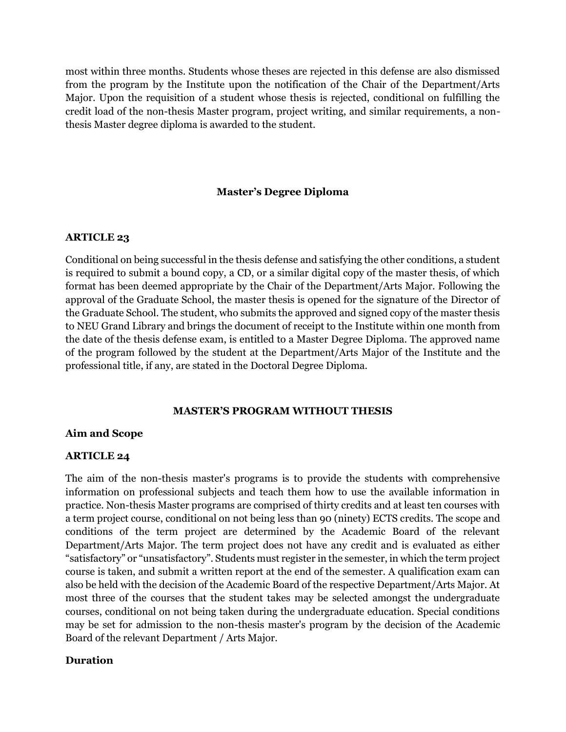most within three months. Students whose theses are rejected in this defense are also dismissed from the program by the Institute upon the notification of the Chair of the Department/Arts Major. Upon the requisition of a student whose thesis is rejected, conditional on fulfilling the credit load of the non-thesis Master program, project writing, and similar requirements, a nonthesis Master degree diploma is awarded to the student.

### **Master's Degree Diploma**

#### **ARTICLE 23**

Conditional on being successful in the thesis defense and satisfying the other conditions, a student is required to submit a bound copy, a CD, or a similar digital copy of the master thesis, of which format has been deemed appropriate by the Chair of the Department/Arts Major. Following the approval of the Graduate School, the master thesis is opened for the signature of the Director of the Graduate School. The student, who submits the approved and signed copy of the master thesis to NEU Grand Library and brings the document of receipt to the Institute within one month from the date of the thesis defense exam, is entitled to a Master Degree Diploma. The approved name of the program followed by the student at the Department/Arts Major of the Institute and the professional title, if any, are stated in the Doctoral Degree Diploma.

#### **MASTER'S PROGRAM WITHOUT THESIS**

### **Aim and Scope**

### **ARTICLE 24**

The aim of the non-thesis master's programs is to provide the students with comprehensive information on professional subjects and teach them how to use the available information in practice. Non-thesis Master programs are comprised of thirty credits and at least ten courses with a term project course, conditional on not being less than 90 (ninety) ECTS credits. The scope and conditions of the term project are determined by the Academic Board of the relevant Department/Arts Major. The term project does not have any credit and is evaluated as either "satisfactory" or "unsatisfactory". Students must register in the semester, in which the term project course is taken, and submit a written report at the end of the semester. A qualification exam can also be held with the decision of the Academic Board of the respective Department/Arts Major. At most three of the courses that the student takes may be selected amongst the undergraduate courses, conditional on not being taken during the undergraduate education. Special conditions may be set for admission to the non-thesis master's program by the decision of the Academic Board of the relevant Department / Arts Major.

### **Duration**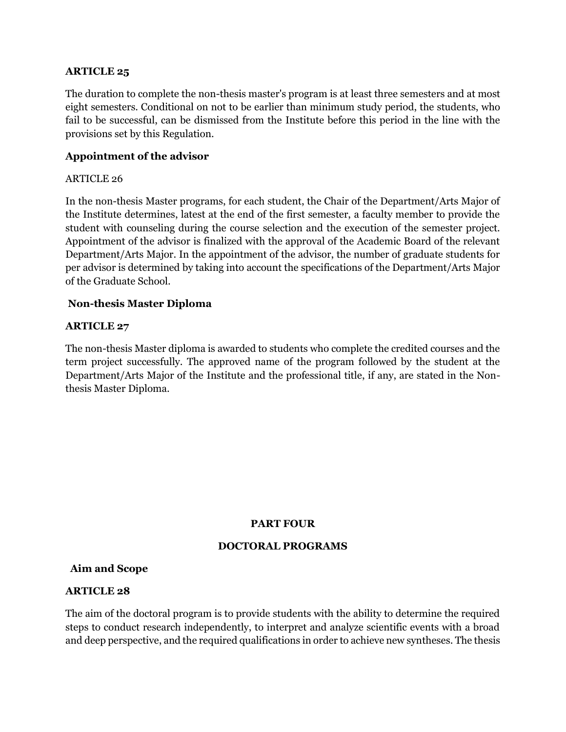## **ARTICLE 25**

The duration to complete the non-thesis master's program is at least three semesters and at most eight semesters. Conditional on not to be earlier than minimum study period, the students, who fail to be successful, can be dismissed from the Institute before this period in the line with the provisions set by this Regulation.

## **Appointment of the advisor**

#### ARTICLE 26

In the non-thesis Master programs, for each student, the Chair of the Department/Arts Major of the Institute determines, latest at the end of the first semester, a faculty member to provide the student with counseling during the course selection and the execution of the semester project. Appointment of the advisor is finalized with the approval of the Academic Board of the relevant Department/Arts Major. In the appointment of the advisor, the number of graduate students for per advisor is determined by taking into account the specifications of the Department/Arts Major of the Graduate School.

### **Non-thesis Master Diploma**

### **ARTICLE 27**

The non-thesis Master diploma is awarded to students who complete the credited courses and the term project successfully. The approved name of the program followed by the student at the Department/Arts Major of the Institute and the professional title, if any, are stated in the Nonthesis Master Diploma.

### **PART FOUR**

### **DOCTORAL PROGRAMS**

#### **Aim and Scope**

#### **ARTICLE 28**

The aim of the doctoral program is to provide students with the ability to determine the required steps to conduct research independently, to interpret and analyze scientific events with a broad and deep perspective, and the required qualifications in order to achieve new syntheses. The thesis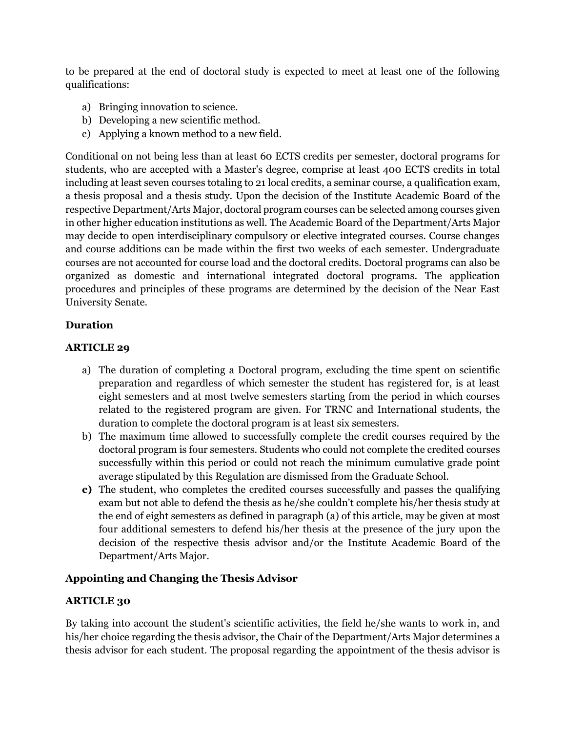to be prepared at the end of doctoral study is expected to meet at least one of the following qualifications:

- a) Bringing innovation to science.
- b) Developing a new scientific method.
- c) Applying a known method to a new field.

Conditional on not being less than at least 60 ECTS credits per semester, doctoral programs for students, who are accepted with a Master's degree, comprise at least 400 ECTS credits in total including at least seven courses totaling to 21 local credits, a seminar course, a qualification exam, a thesis proposal and a thesis study. Upon the decision of the Institute Academic Board of the respective Department/Arts Major, doctoral program courses can be selected among courses given in other higher education institutions as well. The Academic Board of the Department/Arts Major may decide to open interdisciplinary compulsory or elective integrated courses. Course changes and course additions can be made within the first two weeks of each semester. Undergraduate courses are not accounted for course load and the doctoral credits. Doctoral programs can also be organized as domestic and international integrated doctoral programs. The application procedures and principles of these programs are determined by the decision of the Near East University Senate.

## **Duration**

### **ARTICLE 29**

- a) The duration of completing a Doctoral program, excluding the time spent on scientific preparation and regardless of which semester the student has registered for, is at least eight semesters and at most twelve semesters starting from the period in which courses related to the registered program are given. For TRNC and International students, the duration to complete the doctoral program is at least six semesters.
- b) The maximum time allowed to successfully complete the credit courses required by the doctoral program is four semesters. Students who could not complete the credited courses successfully within this period or could not reach the minimum cumulative grade point average stipulated by this Regulation are dismissed from the Graduate School.
- **c)** The student, who completes the credited courses successfully and passes the qualifying exam but not able to defend the thesis as he/she couldn't complete his/her thesis study at the end of eight semesters as defined in paragraph (a) of this article, may be given at most four additional semesters to defend his/her thesis at the presence of the jury upon the decision of the respective thesis advisor and/or the Institute Academic Board of the Department/Arts Major.

### **Appointing and Changing the Thesis Advisor**

### **ARTICLE 30**

By taking into account the student's scientific activities, the field he/she wants to work in, and his/her choice regarding the thesis advisor, the Chair of the Department/Arts Major determines a thesis advisor for each student. The proposal regarding the appointment of the thesis advisor is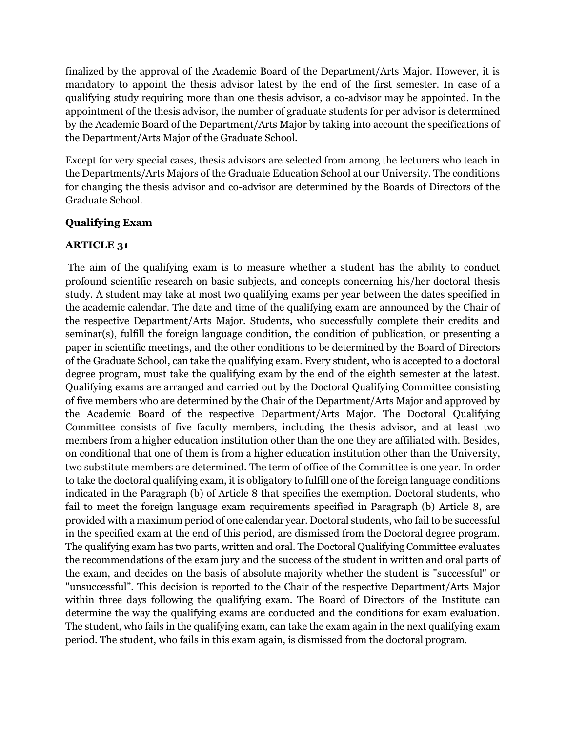finalized by the approval of the Academic Board of the Department/Arts Major. However, it is mandatory to appoint the thesis advisor latest by the end of the first semester. In case of a qualifying study requiring more than one thesis advisor, a co-advisor may be appointed. In the appointment of the thesis advisor, the number of graduate students for per advisor is determined by the Academic Board of the Department/Arts Major by taking into account the specifications of the Department/Arts Major of the Graduate School.

Except for very special cases, thesis advisors are selected from among the lecturers who teach in the Departments/Arts Majors of the Graduate Education School at our University. The conditions for changing the thesis advisor and co-advisor are determined by the Boards of Directors of the Graduate School.

## **Qualifying Exam**

# **ARTICLE 31**

The aim of the qualifying exam is to measure whether a student has the ability to conduct profound scientific research on basic subjects, and concepts concerning his/her doctoral thesis study. A student may take at most two qualifying exams per year between the dates specified in the academic calendar. The date and time of the qualifying exam are announced by the Chair of the respective Department/Arts Major. Students, who successfully complete their credits and seminar(s), fulfill the foreign language condition, the condition of publication, or presenting a paper in scientific meetings, and the other conditions to be determined by the Board of Directors of the Graduate School, can take the qualifying exam. Every student, who is accepted to a doctoral degree program, must take the qualifying exam by the end of the eighth semester at the latest. Qualifying exams are arranged and carried out by the Doctoral Qualifying Committee consisting of five members who are determined by the Chair of the Department/Arts Major and approved by the Academic Board of the respective Department/Arts Major. The Doctoral Qualifying Committee consists of five faculty members, including the thesis advisor, and at least two members from a higher education institution other than the one they are affiliated with. Besides, on conditional that one of them is from a higher education institution other than the University, two substitute members are determined. The term of office of the Committee is one year. In order to take the doctoral qualifying exam, it is obligatory to fulfill one of the foreign language conditions indicated in the Paragraph (b) of Article 8 that specifies the exemption. Doctoral students, who fail to meet the foreign language exam requirements specified in Paragraph (b) Article 8, are provided with a maximum period of one calendar year. Doctoral students, who fail to be successful in the specified exam at the end of this period, are dismissed from the Doctoral degree program. The qualifying exam has two parts, written and oral. The Doctoral Qualifying Committee evaluates the recommendations of the exam jury and the success of the student in written and oral parts of the exam, and decides on the basis of absolute majority whether the student is "successful" or "unsuccessful". This decision is reported to the Chair of the respective Department/Arts Major within three days following the qualifying exam. The Board of Directors of the Institute can determine the way the qualifying exams are conducted and the conditions for exam evaluation. The student, who fails in the qualifying exam, can take the exam again in the next qualifying exam period. The student, who fails in this exam again, is dismissed from the doctoral program.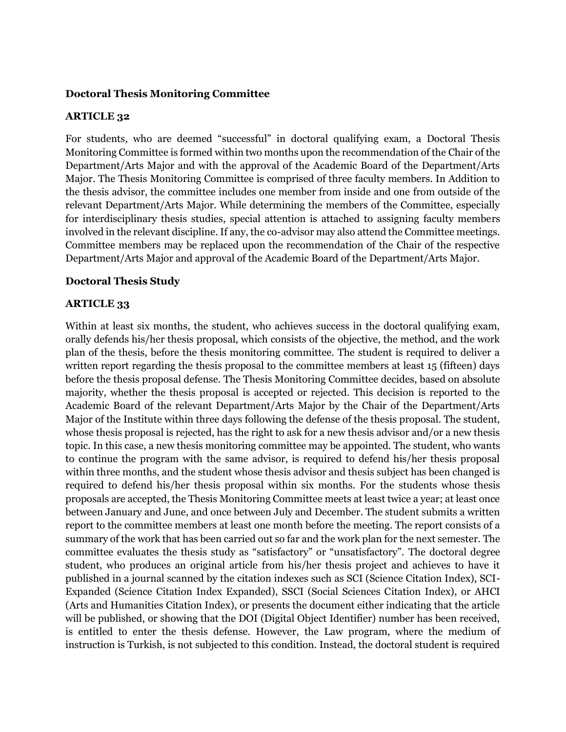### **Doctoral Thesis Monitoring Committee**

#### **ARTICLE 32**

For students, who are deemed "successful" in doctoral qualifying exam, a Doctoral Thesis Monitoring Committee is formed within two months upon the recommendation of the Chair of the Department/Arts Major and with the approval of the Academic Board of the Department/Arts Major. The Thesis Monitoring Committee is comprised of three faculty members. In Addition to the thesis advisor, the committee includes one member from inside and one from outside of the relevant Department/Arts Major. While determining the members of the Committee, especially for interdisciplinary thesis studies, special attention is attached to assigning faculty members involved in the relevant discipline. If any, the co-advisor may also attend the Committee meetings. Committee members may be replaced upon the recommendation of the Chair of the respective Department/Arts Major and approval of the Academic Board of the Department/Arts Major.

#### **Doctoral Thesis Study**

#### **ARTICLE 33**

Within at least six months, the student, who achieves success in the doctoral qualifying exam, orally defends his/her thesis proposal, which consists of the objective, the method, and the work plan of the thesis, before the thesis monitoring committee. The student is required to deliver a written report regarding the thesis proposal to the committee members at least 15 (fifteen) days before the thesis proposal defense. The Thesis Monitoring Committee decides, based on absolute majority, whether the thesis proposal is accepted or rejected. This decision is reported to the Academic Board of the relevant Department/Arts Major by the Chair of the Department/Arts Major of the Institute within three days following the defense of the thesis proposal. The student, whose thesis proposal is rejected, has the right to ask for a new thesis advisor and/or a new thesis topic. In this case, a new thesis monitoring committee may be appointed. The student, who wants to continue the program with the same advisor, is required to defend his/her thesis proposal within three months, and the student whose thesis advisor and thesis subject has been changed is required to defend his/her thesis proposal within six months. For the students whose thesis proposals are accepted, the Thesis Monitoring Committee meets at least twice a year; at least once between January and June, and once between July and December. The student submits a written report to the committee members at least one month before the meeting. The report consists of a summary of the work that has been carried out so far and the work plan for the next semester. The committee evaluates the thesis study as "satisfactory" or "unsatisfactory". The doctoral degree student, who produces an original article from his/her thesis project and achieves to have it published in a journal scanned by the citation indexes such as SCI (Science Citation Index), SCI-Expanded (Science Citation Index Expanded), SSCI (Social Sciences Citation Index), or AHCI (Arts and Humanities Citation Index), or presents the document either indicating that the article will be published, or showing that the DOI (Digital Object Identifier) number has been received, is entitled to enter the thesis defense. However, the Law program, where the medium of instruction is Turkish, is not subjected to this condition. Instead, the doctoral student is required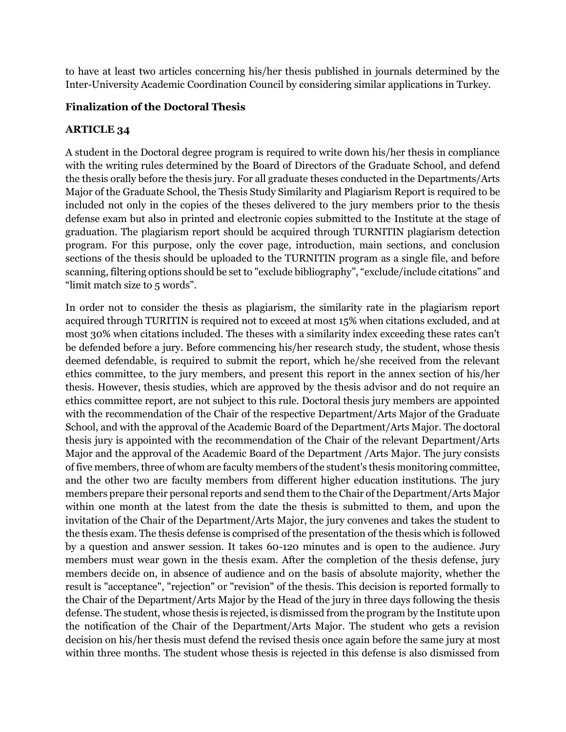to have at least two articles concerning his/her thesis published in journals determined by the Inter-University Academic Coordination Council by considering similar applications in Turkey.

# **Finalization of the Doctoral Thesis**

# **ARTICLE 34**

A student in the Doctoral degree program is required to write down his/her thesis in compliance with the writing rules determined by the Board of Directors of the Graduate School, and defend the thesis orally before the thesis jury. For all graduate theses conducted in the Departments/Arts Major of the Graduate School, the Thesis Study Similarity and Plagiarism Report is required to be included not only in the copies of the theses delivered to the jury members prior to the thesis defense exam but also in printed and electronic copies submitted to the Institute at the stage of graduation. The plagiarism report should be acquired through TURNITIN plagiarism detection program. For this purpose, only the cover page, introduction, main sections, and conclusion sections of the thesis should be uploaded to the TURNITIN program as a single file, and before scanning, filtering options should be set to "exclude bibliography", "exclude/include citations" and "limit match size to 5 words".

In order not to consider the thesis as plagiarism, the similarity rate in the plagiarism report acquired through TURITIN is required not to exceed at most 15% when citations excluded, and at most 30% when citations included. The theses with a similarity index exceeding these rates can't be defended before a jury. Before commencing his/her research study, the student, whose thesis deemed defendable, is required to submit the report, which he/she received from the relevant ethics committee, to the jury members, and present this report in the annex section of his/her thesis. However, thesis studies, which are approved by the thesis advisor and do not require an ethics committee report, are not subject to this rule. Doctoral thesis jury members are appointed with the recommendation of the Chair of the respective Department/Arts Major of the Graduate School, and with the approval of the Academic Board of the Department/Arts Major. The doctoral thesis jury is appointed with the recommendation of the Chair of the relevant Department/Arts Major and the approval of the Academic Board of the Department /Arts Major. The jury consists of five members, three of whom are faculty members of the student's thesis monitoring committee, and the other two are faculty members from different higher education institutions. The jury members prepare their personal reports and send them to the Chair of the Department/Arts Major within one month at the latest from the date the thesis is submitted to them, and upon the invitation of the Chair of the Department/Arts Major, the jury convenes and takes the student to the thesis exam. The thesis defense is comprised of the presentation of the thesis which is followed by a question and answer session. It takes 60-120 minutes and is open to the audience. Jury members must wear gown in the thesis exam. After the completion of the thesis defense, jury members decide on, in absence of audience and on the basis of absolute majority, whether the result is "acceptance", "rejection" or "revision" of the thesis. This decision is reported formally to the Chair of the Department/Arts Major by the Head of the jury in three days following the thesis defense. The student, whose thesis is rejected, is dismissed from the program by the Institute upon the notification of the Chair of the Department/Arts Major. The student who gets a revision decision on his/her thesis must defend the revised thesis once again before the same jury at most within three months. The student whose thesis is rejected in this defense is also dismissed from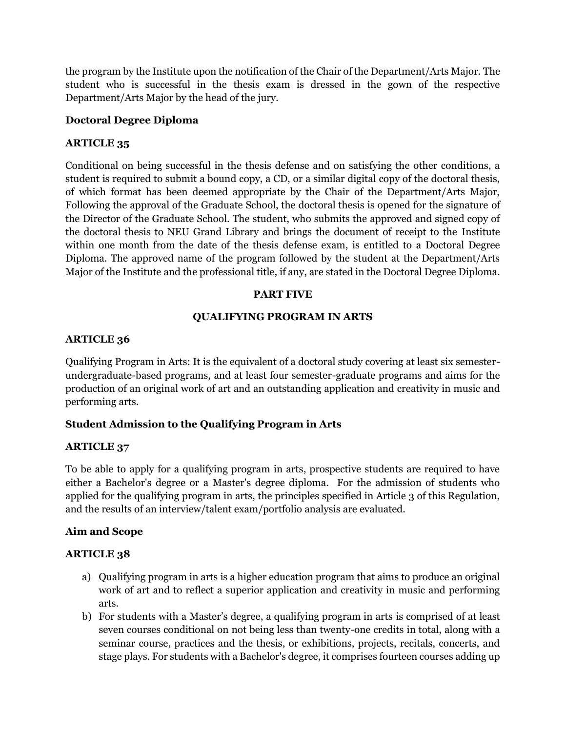the program by the Institute upon the notification of the Chair of the Department/Arts Major. The student who is successful in the thesis exam is dressed in the gown of the respective Department/Arts Major by the head of the jury.

## **Doctoral Degree Diploma**

## **ARTICLE 35**

Conditional on being successful in the thesis defense and on satisfying the other conditions, a student is required to submit a bound copy, a CD, or a similar digital copy of the doctoral thesis, of which format has been deemed appropriate by the Chair of the Department/Arts Major, Following the approval of the Graduate School, the doctoral thesis is opened for the signature of the Director of the Graduate School. The student, who submits the approved and signed copy of the doctoral thesis to NEU Grand Library and brings the document of receipt to the Institute within one month from the date of the thesis defense exam, is entitled to a Doctoral Degree Diploma. The approved name of the program followed by the student at the Department/Arts Major of the Institute and the professional title, if any, are stated in the Doctoral Degree Diploma.

## **PART FIVE**

## **QUALIFYING PROGRAM IN ARTS**

### **ARTICLE 36**

Qualifying Program in Arts: It is the equivalent of a doctoral study covering at least six semesterundergraduate-based programs, and at least four semester-graduate programs and aims for the production of an original work of art and an outstanding application and creativity in music and performing arts.

# **Student Admission to the Qualifying Program in Arts**

### **ARTICLE 37**

To be able to apply for a qualifying program in arts, prospective students are required to have either a Bachelor's degree or a Master's degree diploma. For the admission of students who applied for the qualifying program in arts, the principles specified in Article 3 of this Regulation, and the results of an interview/talent exam/portfolio analysis are evaluated.

### **Aim and Scope**

- a) Qualifying program in arts is a higher education program that aims to produce an original work of art and to reflect a superior application and creativity in music and performing arts.
- b) For students with a Master's degree, a qualifying program in arts is comprised of at least seven courses conditional on not being less than twenty-one credits in total, along with a seminar course, practices and the thesis, or exhibitions, projects, recitals, concerts, and stage plays. For students with a Bachelor's degree, it comprises fourteen courses adding up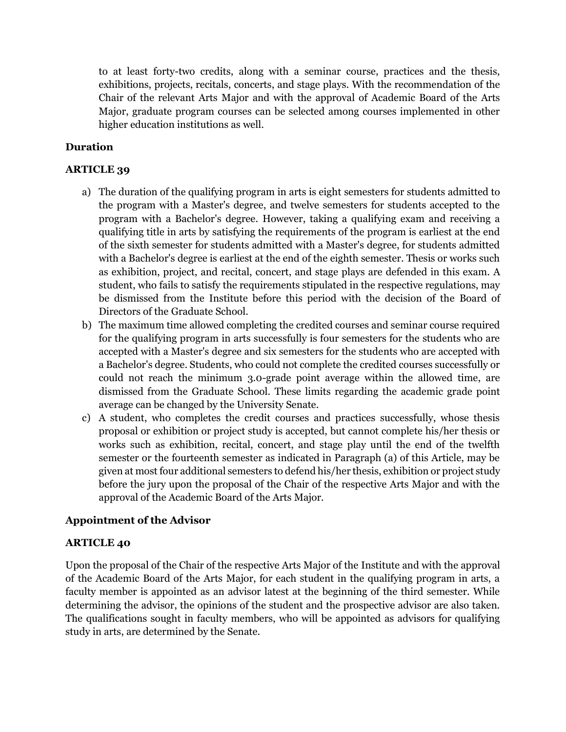to at least forty-two credits, along with a seminar course, practices and the thesis, exhibitions, projects, recitals, concerts, and stage plays. With the recommendation of the Chair of the relevant Arts Major and with the approval of Academic Board of the Arts Major, graduate program courses can be selected among courses implemented in other higher education institutions as well.

# **Duration**

# **ARTICLE 39**

- a) The duration of the qualifying program in arts is eight semesters for students admitted to the program with a Master's degree, and twelve semesters for students accepted to the program with a Bachelor's degree. However, taking a qualifying exam and receiving a qualifying title in arts by satisfying the requirements of the program is earliest at the end of the sixth semester for students admitted with a Master's degree, for students admitted with a Bachelor's degree is earliest at the end of the eighth semester. Thesis or works such as exhibition, project, and recital, concert, and stage plays are defended in this exam. A student, who fails to satisfy the requirements stipulated in the respective regulations, may be dismissed from the Institute before this period with the decision of the Board of Directors of the Graduate School.
- b) The maximum time allowed completing the credited courses and seminar course required for the qualifying program in arts successfully is four semesters for the students who are accepted with a Master's degree and six semesters for the students who are accepted with a Bachelor's degree. Students, who could not complete the credited courses successfully or could not reach the minimum 3.0-grade point average within the allowed time, are dismissed from the Graduate School. These limits regarding the academic grade point average can be changed by the University Senate.
- c) A student, who completes the credit courses and practices successfully, whose thesis proposal or exhibition or project study is accepted, but cannot complete his/her thesis or works such as exhibition, recital, concert, and stage play until the end of the twelfth semester or the fourteenth semester as indicated in Paragraph (a) of this Article, may be given at most four additional semesters to defend his/her thesis, exhibition or project study before the jury upon the proposal of the Chair of the respective Arts Major and with the approval of the Academic Board of the Arts Major.

# **Appointment of the Advisor**

### **ARTICLE 40**

Upon the proposal of the Chair of the respective Arts Major of the Institute and with the approval of the Academic Board of the Arts Major, for each student in the qualifying program in arts, a faculty member is appointed as an advisor latest at the beginning of the third semester. While determining the advisor, the opinions of the student and the prospective advisor are also taken. The qualifications sought in faculty members, who will be appointed as advisors for qualifying study in arts, are determined by the Senate.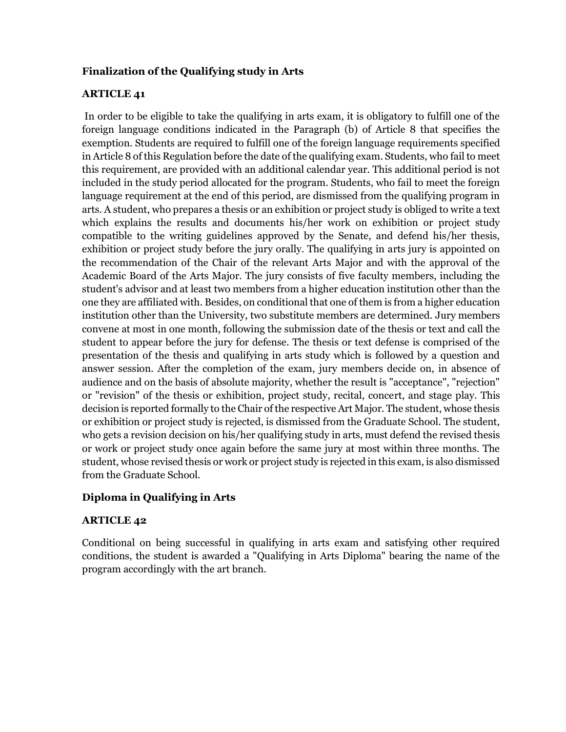# **Finalization of the Qualifying study in Arts**

# **ARTICLE 41**

In order to be eligible to take the qualifying in arts exam, it is obligatory to fulfill one of the foreign language conditions indicated in the Paragraph (b) of Article 8 that specifies the exemption. Students are required to fulfill one of the foreign language requirements specified in Article 8 of this Regulation before the date of the qualifying exam. Students, who fail to meet this requirement, are provided with an additional calendar year. This additional period is not included in the study period allocated for the program. Students, who fail to meet the foreign language requirement at the end of this period, are dismissed from the qualifying program in arts. A student, who prepares a thesis or an exhibition or project study is obliged to write a text which explains the results and documents his/her work on exhibition or project study compatible to the writing guidelines approved by the Senate, and defend his/her thesis, exhibition or project study before the jury orally. The qualifying in arts jury is appointed on the recommendation of the Chair of the relevant Arts Major and with the approval of the Academic Board of the Arts Major. The jury consists of five faculty members, including the student's advisor and at least two members from a higher education institution other than the one they are affiliated with. Besides, on conditional that one of them is from a higher education institution other than the University, two substitute members are determined. Jury members convene at most in one month, following the submission date of the thesis or text and call the student to appear before the jury for defense. The thesis or text defense is comprised of the presentation of the thesis and qualifying in arts study which is followed by a question and answer session. After the completion of the exam, jury members decide on, in absence of audience and on the basis of absolute majority, whether the result is "acceptance", "rejection" or "revision" of the thesis or exhibition, project study, recital, concert, and stage play. This decision is reported formally to the Chair of the respective Art Major. The student, whose thesis or exhibition or project study is rejected, is dismissed from the Graduate School. The student, who gets a revision decision on his/her qualifying study in arts, must defend the revised thesis or work or project study once again before the same jury at most within three months. The student, whose revised thesis or work or project study is rejected in this exam, is also dismissed from the Graduate School.

# **Diploma in Qualifying in Arts**

### **ARTICLE 42**

Conditional on being successful in qualifying in arts exam and satisfying other required conditions, the student is awarded a "Qualifying in Arts Diploma" bearing the name of the program accordingly with the art branch.